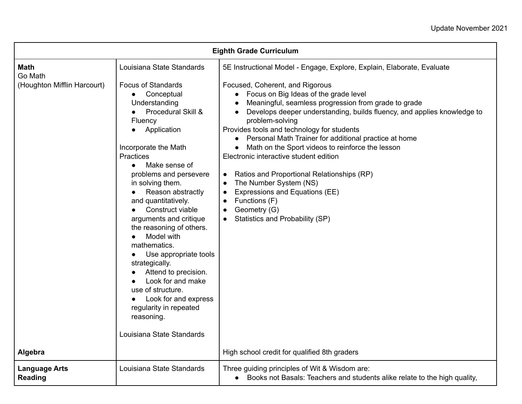| <b>Eighth Grade Curriculum</b>         |                                                                                                                                                                                                                                                                                                                                                                                                                                                                                                                                                                                                      |                                                                                                                                                                                                                                                                                                                                                                                                                                                                                                                                                                                                                                                                                    |
|----------------------------------------|------------------------------------------------------------------------------------------------------------------------------------------------------------------------------------------------------------------------------------------------------------------------------------------------------------------------------------------------------------------------------------------------------------------------------------------------------------------------------------------------------------------------------------------------------------------------------------------------------|------------------------------------------------------------------------------------------------------------------------------------------------------------------------------------------------------------------------------------------------------------------------------------------------------------------------------------------------------------------------------------------------------------------------------------------------------------------------------------------------------------------------------------------------------------------------------------------------------------------------------------------------------------------------------------|
| <b>Math</b><br>Go Math                 | Louisiana State Standards                                                                                                                                                                                                                                                                                                                                                                                                                                                                                                                                                                            | 5E Instructional Model - Engage, Explore, Explain, Elaborate, Evaluate                                                                                                                                                                                                                                                                                                                                                                                                                                                                                                                                                                                                             |
| (Houghton Mifflin Harcourt)            | <b>Focus of Standards</b><br>Conceptual<br>Understanding<br>Procedural Skill &<br>Fluency<br>Application<br>Incorporate the Math<br>Practices<br>Make sense of<br>$\bullet$<br>problems and persevere<br>in solving them.<br>Reason abstractly<br>$\bullet$<br>and quantitatively.<br>Construct viable<br>arguments and critique<br>the reasoning of others.<br>Model with<br>mathematics.<br>Use appropriate tools<br>strategically.<br>Attend to precision.<br>Look for and make<br>use of structure.<br>Look for and express<br>regularity in repeated<br>reasoning.<br>Louisiana State Standards | Focused, Coherent, and Rigorous<br>• Focus on Big Ideas of the grade level<br>Meaningful, seamless progression from grade to grade<br>Develops deeper understanding, builds fluency, and applies knowledge to<br>problem-solving<br>Provides tools and technology for students<br>• Personal Math Trainer for additional practice at home<br>• Math on the Sport videos to reinforce the lesson<br>Electronic interactive student edition<br>Ratios and Proportional Relationships (RP)<br>The Number System (NS)<br>$\bullet$<br><b>Expressions and Equations (EE)</b><br>$\bullet$<br>Functions (F)<br>$\bullet$<br>Geometry (G)<br>$\bullet$<br>Statistics and Probability (SP) |
| Algebra                                |                                                                                                                                                                                                                                                                                                                                                                                                                                                                                                                                                                                                      | High school credit for qualified 8th graders                                                                                                                                                                                                                                                                                                                                                                                                                                                                                                                                                                                                                                       |
| <b>Language Arts</b><br><b>Reading</b> | Louisiana State Standards                                                                                                                                                                                                                                                                                                                                                                                                                                                                                                                                                                            | Three guiding principles of Wit & Wisdom are:<br>• Books not Basals: Teachers and students alike relate to the high quality,                                                                                                                                                                                                                                                                                                                                                                                                                                                                                                                                                       |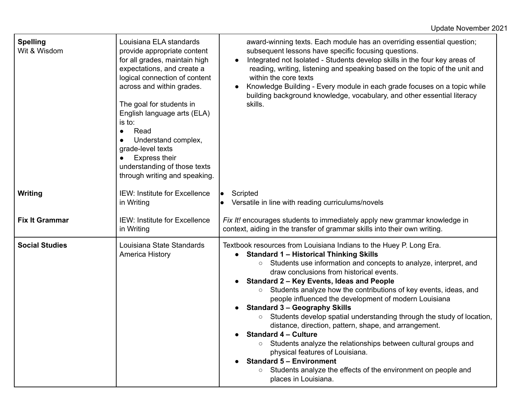| <b>Spelling</b><br>Wit & Wisdom | Louisiana ELA standards<br>provide appropriate content<br>for all grades, maintain high<br>expectations, and create a<br>logical connection of content<br>across and within grades.<br>The goal for students in<br>English language arts (ELA)<br>is to:<br>Read<br>$\bullet$<br>Understand complex,<br>grade-level texts<br><b>Express their</b><br>understanding of those texts<br>through writing and speaking. | award-winning texts. Each module has an overriding essential question;<br>subsequent lessons have specific focusing questions.<br>Integrated not Isolated - Students develop skills in the four key areas of<br>reading, writing, listening and speaking based on the topic of the unit and<br>within the core texts<br>Knowledge Building - Every module in each grade focuses on a topic while<br>$\bullet$<br>building background knowledge, vocabulary, and other essential literacy<br>skills.                                                                                                                                                                                                                                                                                                                                                                                                  |
|---------------------------------|--------------------------------------------------------------------------------------------------------------------------------------------------------------------------------------------------------------------------------------------------------------------------------------------------------------------------------------------------------------------------------------------------------------------|------------------------------------------------------------------------------------------------------------------------------------------------------------------------------------------------------------------------------------------------------------------------------------------------------------------------------------------------------------------------------------------------------------------------------------------------------------------------------------------------------------------------------------------------------------------------------------------------------------------------------------------------------------------------------------------------------------------------------------------------------------------------------------------------------------------------------------------------------------------------------------------------------|
| <b>Writing</b>                  | <b>IEW: Institute for Excellence</b><br>in Writing                                                                                                                                                                                                                                                                                                                                                                 | Scripted<br>Versatile in line with reading curriculums/novels                                                                                                                                                                                                                                                                                                                                                                                                                                                                                                                                                                                                                                                                                                                                                                                                                                        |
| <b>Fix It Grammar</b>           | <b>IEW: Institute for Excellence</b><br>in Writing                                                                                                                                                                                                                                                                                                                                                                 | Fix It! encourages students to immediately apply new grammar knowledge in<br>context, aiding in the transfer of grammar skills into their own writing.                                                                                                                                                                                                                                                                                                                                                                                                                                                                                                                                                                                                                                                                                                                                               |
| <b>Social Studies</b>           | Louisiana State Standards<br>America History                                                                                                                                                                                                                                                                                                                                                                       | Textbook resources from Louisiana Indians to the Huey P. Long Era.<br><b>Standard 1 - Historical Thinking Skills</b><br>Students use information and concepts to analyze, interpret, and<br>$\circ$<br>draw conclusions from historical events.<br>Standard 2 - Key Events, Ideas and People<br>Students analyze how the contributions of key events, ideas, and<br>$\circ$<br>people influenced the development of modern Louisiana<br><b>Standard 3 - Geography Skills</b><br>Students develop spatial understanding through the study of location,<br>$\circ$<br>distance, direction, pattern, shape, and arrangement.<br><b>Standard 4 – Culture</b><br>Students analyze the relationships between cultural groups and<br>$\circ$<br>physical features of Louisiana.<br><b>Standard 5 - Environment</b><br>Students analyze the effects of the environment on people and<br>places in Louisiana. |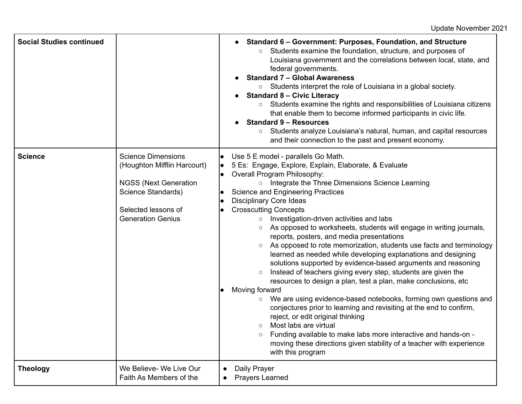| <b>Social Studies continued</b> |                                                                                                                                                                   | Standard 6 – Government: Purposes, Foundation, and Structure<br>Students examine the foundation, structure, and purposes of<br>$\circ$<br>Louisiana government and the correlations between local, state, and<br>federal governments.<br><b>Standard 7 - Global Awareness</b><br>○ Students interpret the role of Louisiana in a global society.<br><b>Standard 8 - Civic Literacy</b><br>Students examine the rights and responsibilities of Louisiana citizens<br>$\bigcirc$<br>that enable them to become informed participants in civic life.<br><b>Standard 9 - Resources</b><br>Students analyze Louisiana's natural, human, and capital resources<br>$\bigcirc$<br>and their connection to the past and present economy.                                                                                                                                                                                                                                                                                                                                                                                                                                                                                                                                                                                     |
|---------------------------------|-------------------------------------------------------------------------------------------------------------------------------------------------------------------|---------------------------------------------------------------------------------------------------------------------------------------------------------------------------------------------------------------------------------------------------------------------------------------------------------------------------------------------------------------------------------------------------------------------------------------------------------------------------------------------------------------------------------------------------------------------------------------------------------------------------------------------------------------------------------------------------------------------------------------------------------------------------------------------------------------------------------------------------------------------------------------------------------------------------------------------------------------------------------------------------------------------------------------------------------------------------------------------------------------------------------------------------------------------------------------------------------------------------------------------------------------------------------------------------------------------|
| <b>Science</b>                  | <b>Science Dimensions</b><br>(Houghton Mifflin Harcourt)<br><b>NGSS (Next Generation</b><br>Science Standards)<br>Selected lessons of<br><b>Generation Genius</b> | Use 5 E model - parallels Go Math.<br>$\bullet$<br>5 Es: Engage, Explore, Explain, Elaborate, & Evaluate<br>lo<br>Overall Program Philosophy:<br>$\bullet$<br>o Integrate the Three Dimensions Science Learning<br><b>Science and Engineering Practices</b><br>$\bullet$<br><b>Disciplinary Core Ideas</b><br><b>Crosscutting Concepts</b><br>Investigation-driven activities and labs<br>$\circ$<br>As opposed to worksheets, students will engage in writing journals,<br>$\circ$<br>reports, posters, and media presentations<br>As opposed to rote memorization, students use facts and terminology<br>$\circ$<br>learned as needed while developing explanations and designing<br>solutions supported by evidence-based arguments and reasoning<br>Instead of teachers giving every step, students are given the<br>$\circ$<br>resources to design a plan, test a plan, make conclusions, etc.<br>Moving forward<br>We are using evidence-based notebooks, forming own questions and<br>$\circ$<br>conjectures prior to learning and revisiting at the end to confirm,<br>reject, or edit original thinking<br>Most labs are virtual<br>$\circ$<br>Funding available to make labs more interactive and hands-on -<br>moving these directions given stability of a teacher with experience<br>with this program |
| <b>Theology</b>                 | We Believe- We Live Our<br>Faith As Members of the                                                                                                                | Daily Prayer<br>$\bullet$<br><b>Prayers Learned</b>                                                                                                                                                                                                                                                                                                                                                                                                                                                                                                                                                                                                                                                                                                                                                                                                                                                                                                                                                                                                                                                                                                                                                                                                                                                                 |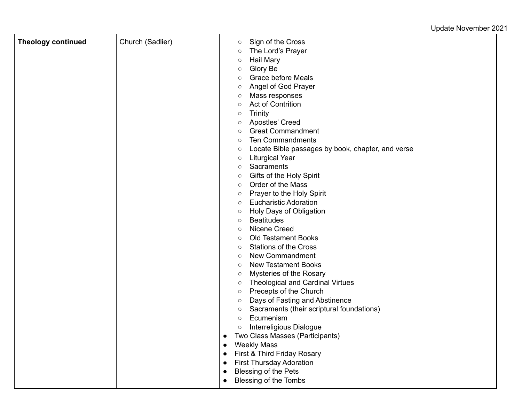| <b>Theology continued</b> | Church (Sadlier) | Sign of the Cross<br>$\circ$                                 |
|---------------------------|------------------|--------------------------------------------------------------|
|                           |                  | The Lord's Prayer<br>$\circlearrowright$                     |
|                           |                  | <b>Hail Mary</b><br>$\circ$                                  |
|                           |                  | Glory Be<br>$\circ$                                          |
|                           |                  | <b>Grace before Meals</b><br>$\circ$                         |
|                           |                  | Angel of God Prayer<br>$\circ$                               |
|                           |                  | Mass responses<br>$\circ$                                    |
|                           |                  | <b>Act of Contrition</b><br>$\circ$                          |
|                           |                  | Trinity<br>$\circ$                                           |
|                           |                  | Apostles' Creed<br>$\circ$                                   |
|                           |                  | <b>Great Commandment</b><br>$\circ$                          |
|                           |                  | <b>Ten Commandments</b><br>$\circ$                           |
|                           |                  | Locate Bible passages by book, chapter, and verse<br>$\circ$ |
|                           |                  | <b>Liturgical Year</b><br>$\circ$                            |
|                           |                  | Sacraments<br>$\circ$                                        |
|                           |                  | Gifts of the Holy Spirit<br>$\circ$                          |
|                           |                  | Order of the Mass<br>$\circ$                                 |
|                           |                  | Prayer to the Holy Spirit<br>$\circ$                         |
|                           |                  | <b>Eucharistic Adoration</b><br>$\circ$                      |
|                           |                  | Holy Days of Obligation<br>$\circ$                           |
|                           |                  | <b>Beatitudes</b><br>$\circ$                                 |
|                           |                  | Nicene Creed<br>$\circ$                                      |
|                           |                  | <b>Old Testament Books</b><br>$\circ$                        |
|                           |                  | <b>Stations of the Cross</b><br>$\circ$                      |
|                           |                  | New Commandment<br>$\circ$                                   |
|                           |                  | <b>New Testament Books</b><br>$\circ$                        |
|                           |                  | Mysteries of the Rosary<br>$\circ$                           |
|                           |                  | <b>Theological and Cardinal Virtues</b><br>$\circ$           |
|                           |                  | Precepts of the Church<br>$\circ$                            |
|                           |                  | Days of Fasting and Abstinence<br>$\circ$                    |
|                           |                  | Sacraments (their scriptural foundations)<br>$\circ$         |
|                           |                  | Ecumenism<br>$\circ$                                         |
|                           |                  | Interreligious Dialogue<br>$\circ$                           |
|                           |                  | Two Class Masses (Participants)<br>$\bullet$                 |
|                           |                  | <b>Weekly Mass</b><br>$\bullet$                              |
|                           |                  | First & Third Friday Rosary<br>$\bullet$                     |
|                           |                  | <b>First Thursday Adoration</b><br>$\bullet$                 |
|                           |                  | Blessing of the Pets<br>$\bullet$                            |
|                           |                  | Blessing of the Tombs<br>$\bullet$                           |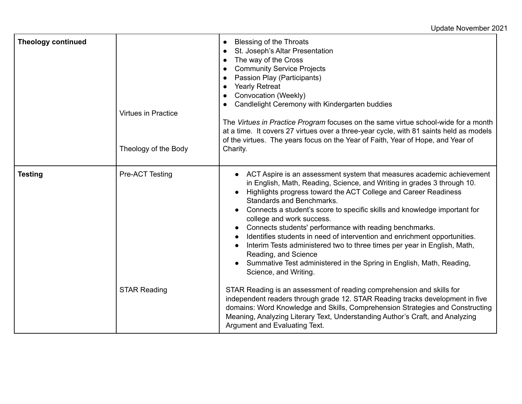Update November 2021

| <b>Theology continued</b> | <b>Virtues in Practice</b><br>Theology of the Body | Blessing of the Throats<br>$\bullet$<br>St. Joseph's Altar Presentation<br>$\bullet$<br>The way of the Cross<br><b>Community Service Projects</b><br>$\bullet$<br>Passion Play (Participants)<br><b>Yearly Retreat</b><br>$\bullet$<br>Convocation (Weekly)<br>Candlelight Ceremony with Kindergarten buddies<br>The Virtues in Practice Program focuses on the same virtue school-wide for a month<br>at a time. It covers 27 virtues over a three-year cycle, with 81 saints held as models<br>of the virtues. The years focus on the Year of Faith, Year of Hope, and Year of<br>Charity.                                                                                                                                      |
|---------------------------|----------------------------------------------------|-----------------------------------------------------------------------------------------------------------------------------------------------------------------------------------------------------------------------------------------------------------------------------------------------------------------------------------------------------------------------------------------------------------------------------------------------------------------------------------------------------------------------------------------------------------------------------------------------------------------------------------------------------------------------------------------------------------------------------------|
| <b>Testing</b>            | Pre-ACT Testing                                    | ACT Aspire is an assessment system that measures academic achievement<br>in English, Math, Reading, Science, and Writing in grades 3 through 10.<br>Highlights progress toward the ACT College and Career Readiness<br>$\bullet$<br>Standards and Benchmarks.<br>Connects a student's score to specific skills and knowledge important for<br>college and work success.<br>Connects students' performance with reading benchmarks.<br>Identifies students in need of intervention and enrichment opportunities.<br>$\bullet$<br>Interim Tests administered two to three times per year in English, Math,<br>Reading, and Science<br>Summative Test administered in the Spring in English, Math, Reading,<br>Science, and Writing. |
|                           | <b>STAR Reading</b>                                | STAR Reading is an assessment of reading comprehension and skills for<br>independent readers through grade 12. STAR Reading tracks development in five<br>domains: Word Knowledge and Skills, Comprehension Strategies and Constructing<br>Meaning, Analyzing Literary Text, Understanding Author's Craft, and Analyzing<br>Argument and Evaluating Text.                                                                                                                                                                                                                                                                                                                                                                         |